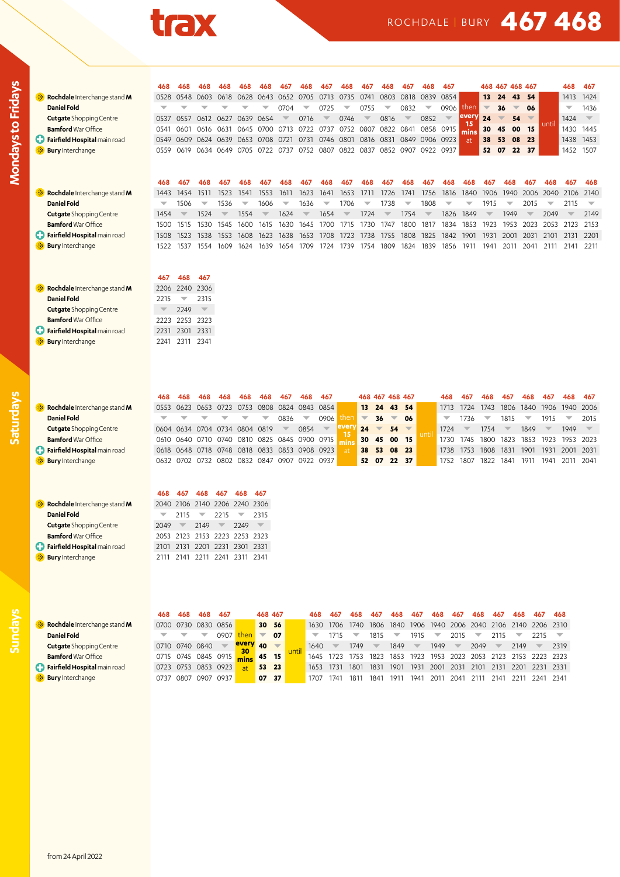

## ROCHDALE | BURY **467 468**

|                                   | 468                      | 468                      | 468                                          | 468                     | 468                      | 468                      | 467                      | 468                      | 467                      | 468                      | 467                      | 468                            | 467                      | 468                      | 467                      |                          |                          | 468 467 468 467                |                          |                          | 468                     | 467                      |
|-----------------------------------|--------------------------|--------------------------|----------------------------------------------|-------------------------|--------------------------|--------------------------|--------------------------|--------------------------|--------------------------|--------------------------|--------------------------|--------------------------------|--------------------------|--------------------------|--------------------------|--------------------------|--------------------------|--------------------------------|--------------------------|--------------------------|-------------------------|--------------------------|
| Rochdale Interchange stand M      | 0528                     | 0548                     | 0603                                         | 0618                    | 0628                     | 0643                     | 0652                     | 0705                     | 0713                     | 0735                     | 0741                     | 0803                           | 0818                     | 0839                     | 0854                     |                          | 13                       | 24<br>43                       | 54                       |                          | 1413                    | 1424                     |
| <b>Daniel Fold</b>                | $\overline{\phantom{0}}$ |                          |                                              | ▼                       | ▼                        | ▼                        | 0704                     | $\overline{\phantom{0}}$ | 0725                     | $\overline{\phantom{0}}$ | 0755                     | $\overline{\phantom{0}}$       | 0832                     | $\overline{\phantom{0}}$ | 0906                     | then                     | $\overline{\phantom{a}}$ | 36<br>$\overline{\phantom{m}}$ | 06                       |                          | $\overline{\mathbf{v}}$ | 1436                     |
| <b>Cutgate Shopping Centre</b>    | 0537                     | 0557                     |                                              | 0612 0627               | 0639                     | 0654                     | $\overline{\phantom{m}}$ | 0716                     | $\overline{\mathbb{V}}$  | 0746                     | $\overline{\phantom{a}}$ | 0816                           | $\overline{\mathbf{v}}$  | 0852                     | $\overline{\mathbf{v}}$  | every                    | 24                       | $\overline{\mathbf{v}}$<br>54  | $\overline{\phantom{a}}$ |                          | 1424                    | $\overline{\mathbf{v}}$  |
| <b>Bamford</b> War Office         | 0541                     | 0601                     | 0616                                         | 0631                    |                          | 0645 0700 0713           |                          |                          | 0722 0737                | 0752 0807                |                          |                                | 0822 0841                | 0858 0915                |                          | 15<br>mins               | 30                       | 45<br>00                       | 15                       | until                    | 1430 1445               |                          |
| Fairfield Hospital main road      | 0549                     | 0609                     | 0624                                         | 0639                    |                          | 0653 0708 0721           |                          |                          | 0731 0746 0801           |                          | 0816                     |                                | 0831 0849                | 0906 0923                |                          | at                       | 38                       | 53<br>08                       | 23                       |                          | 1438                    | 1453                     |
| <b>Bury Interchange</b>           | 0559                     |                          | 0619 0634 0649                               |                         |                          | 0705 0722 0737           |                          |                          | 0752 0807 0822           |                          | 0837                     |                                |                          | 0852 0907 0922 0937      |                          |                          | 52                       | 07<br>22                       | 37                       |                          | 1452                    | 1507                     |
|                                   |                          |                          |                                              |                         |                          |                          |                          |                          |                          |                          |                          |                                |                          |                          |                          |                          |                          |                                |                          |                          |                         |                          |
|                                   | 468                      | 467                      | 468                                          | 467                     | 468                      | 467                      | 468                      | 467                      | 468                      | 467                      | 468                      | 467                            | 468                      | 467                      | 468                      | 468                      | 467                      | 468                            | 467                      | 468                      | 467                     | 468                      |
| Rochdale Interchange stand M      | 1443                     | 1454                     | 1511                                         | 1523                    | 1541                     | 1553                     | 1611                     | 1623                     | 1641                     | 1653                     | 1711                     | 1726 1741                      |                          | 1756                     | 1816                     | 1840                     | 1906                     | 1940                           |                          | 2006 2040 2106           |                         | 2140                     |
| <b>Daniel Fold</b>                | $\overline{\phantom{a}}$ | 1506                     | $\overline{\phantom{0}}$                     | 1536                    | $\overline{\phantom{a}}$ | 1606                     | $\overline{\phantom{a}}$ | 1636                     | $\overline{\phantom{0}}$ | 1706                     | $\overline{\mathbf{v}}$  | 1738                           | $\overline{\phantom{0}}$ | 1808                     | $\overline{\mathbf{v}}$  | $\overline{\phantom{0}}$ | 1915                     | $\overline{\phantom{a}}$       | 2015                     | $\overline{\phantom{0}}$ | 2115                    | $\overline{\phantom{a}}$ |
| <b>Cutgate Shopping Centre</b>    | 1454                     | $\overline{\mathbf{v}}$  | 1524                                         | $\overline{\mathbf{v}}$ | 1554                     | $\overline{\phantom{m}}$ | 1624                     | $\overline{\phantom{m}}$ | 1654                     | $\overline{\phantom{m}}$ | 1724                     | $\overline{\phantom{a}}$       | 1754                     | $\overline{\phantom{m}}$ | 1826                     | 1849                     | $\overline{\phantom{m}}$ | 1949                           | $\overline{\phantom{a}}$ | 2049                     | $\overline{\mathbb{V}}$ | 2149                     |
| <b>Bamford</b> War Office         | 1500                     | 1515                     | 1530                                         | 1545                    | 1600                     | 1615                     | 1630                     | 1645                     | 1700                     | 1715                     | 1730                     | 1747                           | 1800                     | 1817                     | 1834                     | 1853                     | 1923                     | 1953                           | 2023                     | 2053 2123                |                         | 2153                     |
| Fairfield Hospital main road<br>O | 1508                     | 1523                     | 1538                                         | 1553                    | 1608                     | 1623                     | 1638                     | 1653                     | 1708                     | 1723                     | 1738                     | 1755                           | 1808                     | 1825                     | 1842                     | 1901                     | 1931                     | 2001                           | 2031                     | 2101                     | 2131                    | 2201                     |
| <b>Bury</b> Interchange           | 1522                     | 1537                     | 1554                                         | 1609                    | 1624                     | 1639                     | 1654                     | 1709                     |                          | 1724 1739                | 1754                     | 1809                           | 1824                     | 1839                     | 1856                     | 1911                     | 1941                     | 2011                           | 2041                     | 2111                     | 2141                    | 2211                     |
|                                   |                          |                          |                                              |                         |                          |                          |                          |                          |                          |                          |                          |                                |                          |                          |                          |                          |                          |                                |                          |                          |                         |                          |
|                                   | 467                      | 468                      | 467                                          |                         |                          |                          |                          |                          |                          |                          |                          |                                |                          |                          |                          |                          |                          |                                |                          |                          |                         |                          |
| Rochdale Interchange stand M      | 2206                     | 2240                     | 2306                                         |                         |                          |                          |                          |                          |                          |                          |                          |                                |                          |                          |                          |                          |                          |                                |                          |                          |                         |                          |
| <b>Daniel Fold</b>                | 2215                     | $\overline{\phantom{0}}$ | 2315                                         |                         |                          |                          |                          |                          |                          |                          |                          |                                |                          |                          |                          |                          |                          |                                |                          |                          |                         |                          |
| <b>Cutgate Shopping Centre</b>    | $\overline{\phantom{0}}$ | 2249                     | $\overline{\nabla}$                          |                         |                          |                          |                          |                          |                          |                          |                          |                                |                          |                          |                          |                          |                          |                                |                          |                          |                         |                          |
| <b>Bamford</b> War Office         | 2223                     |                          | 2253 2323                                    |                         |                          |                          |                          |                          |                          |                          |                          |                                |                          |                          |                          |                          |                          |                                |                          |                          |                         |                          |
| Fairfield Hospital main road      | 2231                     |                          | 2301 2331                                    |                         |                          |                          |                          |                          |                          |                          |                          |                                |                          |                          |                          |                          |                          |                                |                          |                          |                         |                          |
| <b>Bury</b> Interchange           | 2241                     |                          | 2311 2341                                    |                         |                          |                          |                          |                          |                          |                          |                          |                                |                          |                          |                          |                          |                          |                                |                          |                          |                         |                          |
|                                   |                          |                          |                                              |                         |                          |                          |                          |                          |                          |                          |                          |                                |                          |                          |                          |                          |                          |                                |                          |                          |                         |                          |
|                                   |                          |                          |                                              |                         |                          |                          |                          |                          |                          |                          |                          |                                |                          |                          |                          |                          |                          |                                |                          |                          |                         |                          |
|                                   |                          |                          |                                              |                         |                          |                          |                          |                          |                          |                          |                          |                                |                          |                          |                          |                          |                          |                                |                          |                          |                         |                          |
|                                   | 468                      | 468                      | 468                                          | 468                     | 468                      | 468                      | 467                      | 468                      | 467                      |                          | 468                      | 467 468 467                    |                          |                          | 468                      | 467                      | 468                      | 467                            | 468                      | 467                      | 468                     | 467                      |
| Rochdale Interchange stand M      | 0553                     |                          | 0623 0653 0723                               |                         |                          | 0753 0808 0824           |                          | 0843 0854                |                          |                          | 13                       | 43<br>24                       | 54                       |                          | 1713                     | 1724                     | 1743                     | 1806                           | 1840                     | 1906                     | 1940                    | 2006                     |
| <b>Daniel Fold</b>                | ÷                        |                          |                                              | w                       | ÷                        | ▼                        | 0836                     | $\overline{\phantom{0}}$ | 0906                     | then                     | $\overline{\phantom{a}}$ | 36<br>$\overline{\phantom{m}}$ | 06                       |                          | $\overline{\phantom{a}}$ | 1736                     | $\overline{\mathbf{v}}$  | 1815                           | $\overline{\phantom{0}}$ | 1915                     | $\overline{\mathbf{v}}$ | 2015                     |
| <b>Cutgate</b> Shopping Centre    | 0604                     |                          | 0634 0704 0734 0804 0819                     |                         |                          |                          | $\overline{\phantom{m}}$ | 0854                     | $\overline{\phantom{m}}$ | <b>ever</b>              | 24                       | 54<br>$\overline{\phantom{m}}$ | $\overline{\phantom{a}}$ |                          | 1724                     | $\overline{\mathbf{v}}$  | 1754                     | $\overline{\mathbf{v}}$        | 1849                     | $\overline{\phantom{m}}$ | 1949                    | $\overline{\nabla}$      |
| <b>Bamford</b> War Office         | 0610                     |                          | 0640 0710                                    | 0740                    |                          | 0810 0825 0845           |                          | 0900 0915                |                          | 15<br>mins               | 30                       | 45<br>00                       | 15                       | unti                     | 1730                     | 1745                     | 1800                     | 1823                           | 1853                     | 1923                     | 1953                    | 2023                     |
| Fairfield Hospital main road      | 0618                     |                          | 0648 0718 0748                               |                         |                          | 0818 0833 0853 0908 0923 |                          |                          |                          | at                       | 38                       | 53<br>08                       | 23                       |                          | 1738                     | 1753                     | 1808                     | 1831                           | 1901                     | 1931                     | 2001                    | 2031                     |
| <b>Bury</b> Interchange           |                          |                          | 0632 0702 0732 0802 0832 0847 0907 0922 0937 |                         |                          |                          |                          |                          |                          |                          | 52                       | 07<br>22                       | 37                       |                          | 1752                     | 1807                     | 1822                     | 1841                           | 1911                     | 1941                     | 2011 2041               |                          |
|                                   |                          |                          |                                              |                         |                          |                          |                          |                          |                          |                          |                          |                                |                          |                          |                          |                          |                          |                                |                          |                          |                         |                          |
|                                   |                          |                          |                                              |                         |                          |                          |                          |                          |                          |                          |                          |                                |                          |                          |                          |                          |                          |                                |                          |                          |                         |                          |
|                                   | 468                      | 467                      | 468                                          | 467                     | 468                      | 467                      |                          |                          |                          |                          |                          |                                |                          |                          |                          |                          |                          |                                |                          |                          |                         |                          |

| Rochdale Interchange stand M          |      |               | 2040 2106 2140 2206 2240 2306 |                         |
|---------------------------------------|------|---------------|-------------------------------|-------------------------|
| <b>Daniel Fold</b>                    |      | $2115 = 2215$ | $\sqrt{2315}$                 |                         |
| <b>Cutgate</b> Shopping Centre        | 2049 | $\sqrt{2149}$ | $\sqrt{2249}$                 | $\overline{\mathbf{v}}$ |
| <b>Bamford</b> War Office             |      |               | 2053 2123 2153 2223 2253 2323 |                         |
| <b>C</b> Fairfield Hospital main road |      |               | 2101 2131 2201 2231 2301 2331 |                         |
| <b>Bury</b> Interchange               |      |               | 2111 2141 2211 2241 2311 2341 |                         |

**Saturdays**

**Mondays to Fridays**

Mondays to Fridays

|                                       |      | 468            | 468                 | 467         |                       |    | 468 467         | 468       | 467                      | 468  | 467  | 468            | 467                      | 468  | 467                      | 468  | 467                      | 468                      | 467                                | 468                      |
|---------------------------------------|------|----------------|---------------------|-------------|-----------------------|----|-----------------|-----------|--------------------------|------|------|----------------|--------------------------|------|--------------------------|------|--------------------------|--------------------------|------------------------------------|--------------------------|
| Rochdale Interchange stand M          |      |                | 0700 0730 0830 0856 |             |                       |    | 30 56           |           | 1630 1706                | 1740 |      | 1806 1840 1906 |                          |      |                          |      |                          |                          | 1940 2006 2040 2106 2140 2206 2310 |                          |
| <b>Daniel Fold</b>                    |      |                | ┳                   | <b>0907</b> |                       |    | 07              |           | 1715                     | ▼    | 1815 | ▼              | 1915                     | ▼    | 2015                     | ▼    | 2115                     | $\overline{\phantom{a}}$ | 2215                               | $\overline{\phantom{0}}$ |
| <b>Cutgate Shopping Centre</b>        |      | 0710 0740 0840 |                     |             | $e^{v}$ <sub>40</sub> |    |                 | 1640      | $\overline{\phantom{a}}$ | 1749 |      | 1849           | $\overline{\phantom{a}}$ | 1949 | $\overline{\phantom{0}}$ | 2049 | $\overline{\phantom{a}}$ | 2149                     |                                    | 2319                     |
| <b>Bamford</b> War Office             |      |                | 0715 0745 0845 0915 |             |                       | 45 | 15 <sub>1</sub> | 1645      | - 1723                   | 1753 | 1823 | 1853           | 1923                     | 1953 |                          |      |                          |                          | 2023 2053 2123 2153 2223 2323      |                          |
| <b>C</b> Fairfield Hospital main road |      |                | 0723 0753 0853 0923 |             | at'                   |    | 53 23           | 1653 1731 |                          | 1801 | 1831 | 1901           | 1931                     | 2001 | 2031                     | 2101 | 2131                     | 2201                     | 2231 2331                          |                          |
| <b>Bury</b> Interchange               | 0737 | 0807           | 0907                | 0937        |                       | 07 | 37              | 1707      | 1741                     | 1811 | 1841 | 1911           | 1941                     | 2011 | 2041                     | 2111 | 2141                     | 2211                     | 2241                               | 2341                     |